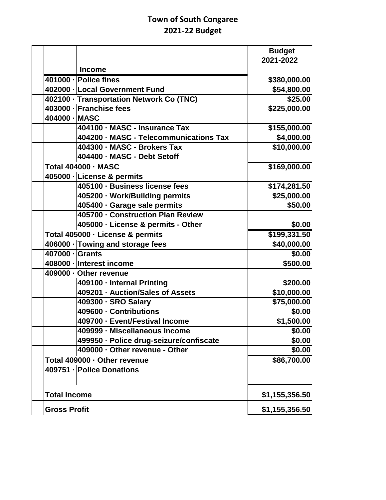## **Town of South Congaree 2021-22 Budget**

|                     |                                          | <b>Budget</b><br>2021-2022 |
|---------------------|------------------------------------------|----------------------------|
|                     | <b>Income</b>                            |                            |
|                     | 401000 - Police fines                    | \$380,000.00               |
|                     | 402000 - Local Government Fund           | \$54,800.00                |
|                     | 402100 · Transportation Network Co (TNC) | \$25.00                    |
|                     | 403000 - Franchise fees                  | \$225,000.00               |
| 404000 - MASC       |                                          |                            |
|                     | 404100 · MASC - Insurance Tax            | \$155,000.00               |
|                     | 404200 · MASC - Telecommunications Tax   | \$4,000.00                 |
|                     | 404300 - MASC - Brokers Tax              | \$10,000.00                |
|                     | 404400 - MASC - Debt Setoff              |                            |
|                     | <b>Total 404000 - MASC</b>               | $\overline{$169,000.00}$   |
|                     | 405000 - License & permits               |                            |
|                     | 405100 · Business license fees           | \$174,281.50               |
|                     | 405200 · Work/Building permits           | \$25,000.00                |
|                     | 405400 · Garage sale permits             | \$50.00                    |
|                     | 405700 - Construction Plan Review        |                            |
|                     | 405000 · License & permits - Other       | \$0.00                     |
|                     | Total 405000 · License & permits         | \$199,331.50               |
|                     | 406000 · Towing and storage fees         | \$40,000.00                |
| 407000 - Grants     |                                          | \$0.00                     |
|                     | 408000 - Interest income                 | \$500.00                   |
|                     | 409000 · Other revenue                   |                            |
|                     | 409100 - Internal Printing               | \$200.00                   |
|                     | 409201 - Auction/Sales of Assets         | \$10,000.00                |
|                     | 409300 - SRO Salary                      | \$75,000.00                |
|                     | 409600 - Contributions                   | \$0.00                     |
|                     | 409700 - Event/Festival Income           | \$1,500.00                 |
|                     | 409999 - Miscellaneous Income            | \$0.00                     |
|                     | 499950 · Police drug-seizure/confiscate  | \$0.00                     |
|                     | 409000 - Other revenue - Other           | \$0.00                     |
|                     | Total 409000 · Other revenue             | \$86,700.00                |
|                     | 409751 - Police Donations                |                            |
|                     |                                          |                            |
| <b>Total Income</b> |                                          | \$1,155,356.50             |
| <b>Gross Profit</b> | \$1,155,356.50                           |                            |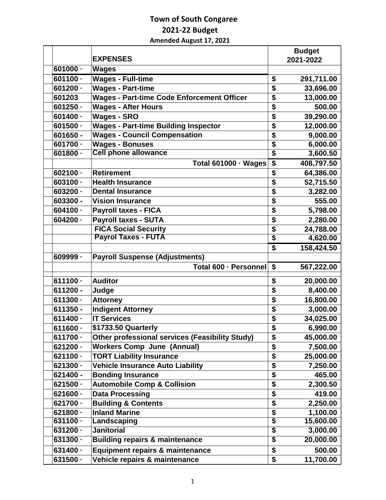## **Town of South Congaree 2021-22 Budget Amended August 17, 2021**

|            |                                                        |                                      | <b>Budget</b> |
|------------|--------------------------------------------------------|--------------------------------------|---------------|
|            | <b>EXPENSES</b>                                        |                                      | 2021-2022     |
| $601000 -$ | <b>Wages</b>                                           |                                      |               |
| $601100 -$ | <b>Wages - Full-time</b>                               | \$                                   | 291,711.00    |
| $601200 -$ | <b>Wages - Part-time</b>                               | \$                                   | 33,696.00     |
| 601203     | <b>Wages - Part-time Code Enforcement Officer</b>      | \$                                   | 13,000.00     |
| $601250 -$ | <b>Wages - After Hours</b>                             | \$                                   | 500.00        |
| $601400 -$ | <b>Wages - SRO</b>                                     | \$                                   | 39,290.00     |
| $601500 -$ | <b>Wages - Part-time Building Inspector</b>            | \$                                   | 12,000.00     |
| 601650 -   | <b>Wages - Council Compensation</b>                    | \$                                   | 9,000.00      |
| 601700 -   | <b>Wages - Bonuses</b>                                 | $\overline{\boldsymbol{\mathsf{s}}}$ | 6,000.00      |
| $601800 -$ | <b>Cell phone allowance</b>                            | $\overline{\boldsymbol{s}}$          | 3,600.50      |
|            | <b>Total 601000 · Wages</b>                            | \$                                   | 408,797.50    |
| $602100 -$ | <b>Retirement</b>                                      | \$                                   | 64,386.00     |
| $603100 -$ | <b>Health Insurance</b>                                | \$                                   | 52,715.50     |
| $603200 -$ | <b>Dental Insurance</b>                                | \$                                   | 3,282.00      |
| 603300 -   | <b>Vision Insurance</b>                                | \$                                   | 555.00        |
| $604100 -$ | <b>Payroll taxes - FICA</b>                            | \$                                   | 5,798.00      |
| $604200 -$ | <b>Payroll taxes - SUTA</b>                            | $\overline{\boldsymbol{\mathsf{s}}}$ | 2,280.00      |
|            | <b>FICA Social Security</b>                            | \$                                   | 24,788.00     |
|            | <b>Payrol Taxes - FUTA</b>                             | $\overline{\$}$                      | 4,620.00      |
|            |                                                        | $\overline{\mathbf{s}}$              | 158,424.50    |
| 609999 -   | <b>Payroll Suspense (Adjustments)</b>                  |                                      |               |
|            | Total 600 · Personnel                                  | \$                                   | 567,222.00    |
| $611100 -$ | <b>Auditor</b>                                         | \$                                   | 20,000.00     |
| 611200 -   | Judge                                                  | \$                                   | 8,400.00      |
| $611300 -$ | <b>Attorney</b>                                        | \$                                   | 16,800.00     |
| 611350 -   | <b>Indigent Attorney</b>                               | \$                                   | 3,000.00      |
| $611400 -$ | <b>IT Services</b>                                     | \$                                   | 34,025.00     |
| $611600 -$ | \$1733.50 Quarterly                                    | \$                                   | 6,990.00      |
| $611700 -$ | <b>Other professional services (Feasibility Study)</b> | \$                                   | 45,000.00     |
| $621200 -$ | <b>Workers Comp June (Annual)</b>                      | \$                                   | 7,500.00      |
| $621100 -$ | <b>TORT Liability Insurance</b>                        | \$                                   | 25,000.00     |
| $621300 -$ | <b>Vehicle Insurance Auto Liability</b>                | \$                                   | 7,250.00      |
| 621400 -   | <b>Bonding Insurance</b>                               | \$                                   | 465.00        |
| $621500 -$ | <b>Automobile Comp &amp; Collision</b>                 | \$                                   | 2,300.50      |
| $621600 -$ | <b>Data Processing</b>                                 | \$                                   | 419.00        |
| 621700 -   | <b>Building &amp; Contents</b>                         | \$                                   | 2,250.00      |
| $621800 -$ | <b>Inland Marine</b>                                   | \$                                   | 1,100.00      |
| $631100 -$ | Landscaping                                            | $\overline{\$}$                      | 15,600.00     |
| $631200 -$ | <b>Janitorial</b>                                      | $\overline{\boldsymbol{\mathsf{s}}}$ | 3,000.00      |
| $631300 -$ | <b>Building repairs &amp; maintenance</b>              | $\overline{\$}$                      | 20,000.00     |
| $631400 -$ | <b>Equipment repairs &amp; maintenance</b>             | \$                                   | 500.00        |
| $631500 -$ | Vehicle repairs & maintenance                          | \$                                   | 11,700.00     |